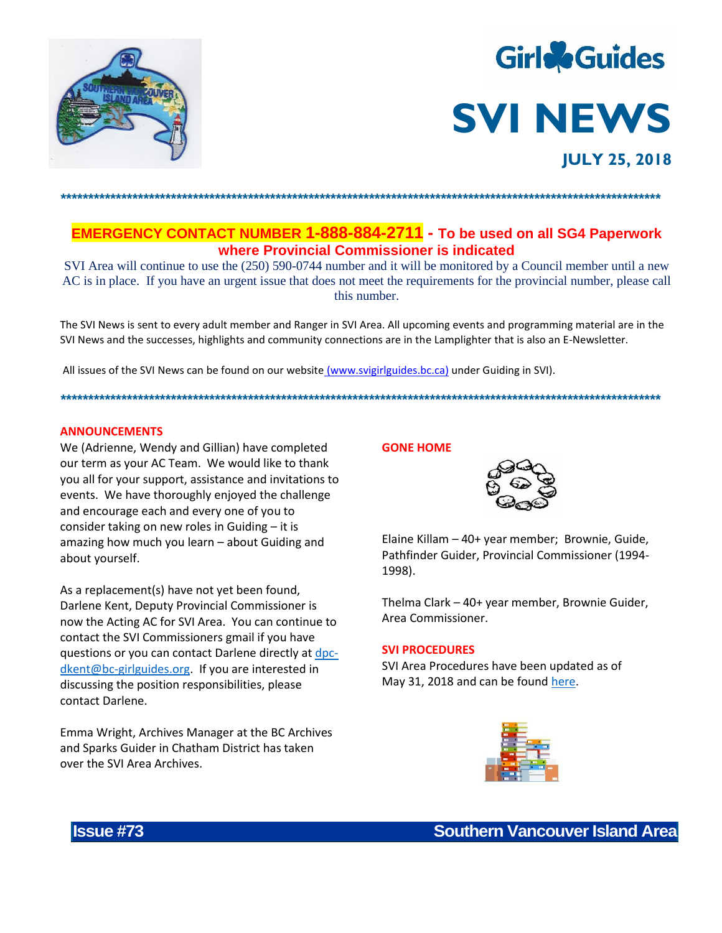



**JULY 25, 2018** 

# **EMERGENCY CONTACT NUMBER 1-888-884-2711** - To be used on all SG4 Paperwork where Provincial Commissioner is indicated

SVI Area will continue to use the (250) 590-0744 number and it will be monitored by a Council member until a new AC is in place. If you have an urgent issue that does not meet the requirements for the provincial number, please call this number.

The SVI News is sent to every adult member and Ranger in SVI Area. All upcoming events and programming material are in the SVI News and the successes, highlights and community connections are in the Lamplighter that is also an E-Newsletter.

All issues of the SVI News can be found on our website (www.svigirlguides.bc.ca) under Guiding in SVI).

# **ANNOUNCEMENTS**

We (Adrienne, Wendy and Gillian) have completed our term as your AC Team. We would like to thank you all for your support, assistance and invitations to events. We have thoroughly enjoyed the challenge and encourage each and every one of you to consider taking on new roles in Guiding - it is amazing how much you learn - about Guiding and about yourself.

As a replacement(s) have not yet been found, Darlene Kent, Deputy Provincial Commissioner is now the Acting AC for SVI Area. You can continue to contact the SVI Commissioners gmail if you have questions or you can contact Darlene directly at dpcdkent@bc-girlguides.org. If you are interested in discussing the position responsibilities, please contact Darlene.

Emma Wright, Archives Manager at the BC Archives and Sparks Guider in Chatham District has taken over the SVI Area Archives.

# **GONE HOME**



Elaine Killam - 40+ year member; Brownie, Guide, Pathfinder Guider, Provincial Commissioner (1994-1998).

Thelma Clark - 40+ year member, Brownie Guider, Area Commissioner.

#### **SVI PROCEDURES**

SVI Area Procedures have been updated as of May 31, 2018 and can be found here.



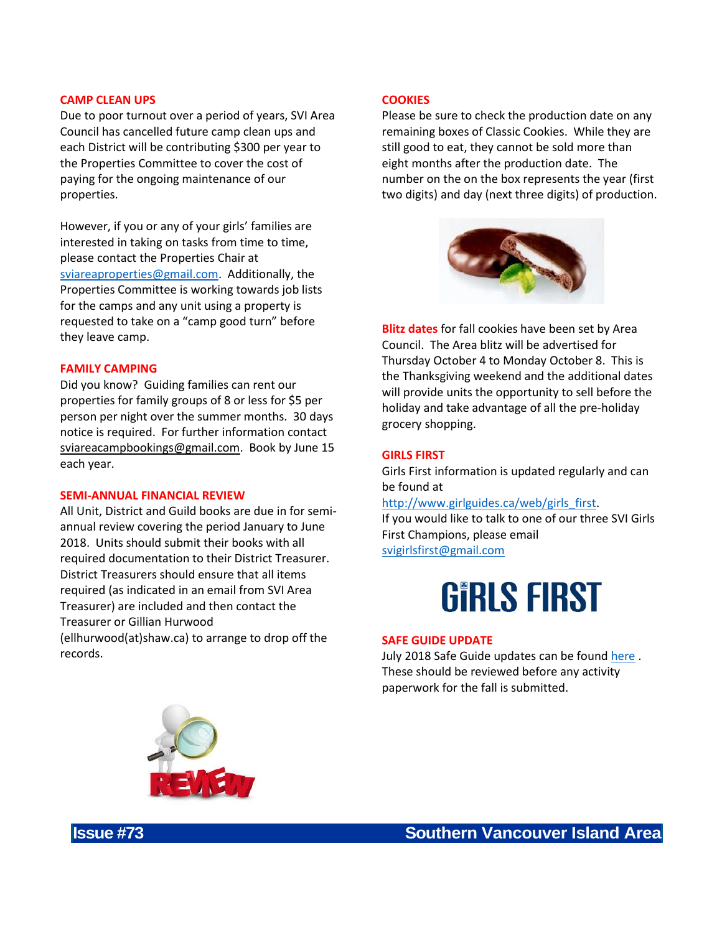#### **CAMP CLEAN UPS**

Due to poor turnout over a period of years, SVI Area Council has cancelled future camp clean ups and each District will be contributing \$300 per year to the Properties Committee to cover the cost of paying for the ongoing maintenance of our properties.

However, if you or any of your girls' families are interested in taking on tasks from time to time, please contact the Properties Chair at [sviareaproperties@gmail.com.](mailto:sviareaproperties@gmail.com) Additionally, the Properties Committee is working towards job lists for the camps and any unit using a property is requested to take on a "camp good turn" before they leave camp.

#### **FAMILY CAMPING**

Did you know? Guiding families can rent our properties for family groups of 8 or less for \$5 per person per night over the summer months. 30 days notice is required. For further information contact [sviareacampbookings@gmail.com.](mailto:sviareacampbookings@gmail.com) Book by June 15 each year.

#### **SEMI-ANNUAL FINANCIAL REVIEW**

All Unit, District and Guild books are due in for semiannual review covering the period January to June 2018. Units should submit their books with all required documentation to their District Treasurer. District Treasurers should ensure that all items required (as indicated in an email from SVI Area Treasurer) are included and then contact the Treasurer or Gillian Hurwood (ellhurwood(at)shaw.ca) to arrange to drop off the records.

# **COOKIES**

Please be sure to check the production date on any remaining boxes of Classic Cookies. While they are still good to eat, they cannot be sold more than eight months after the production date. The number on the on the box represents the year (first two digits) and day (next three digits) of production.



**Blitz dates** for fall cookies have been set by Area Council. The Area blitz will be advertised for Thursday October 4 to Monday October 8. This is the Thanksgiving weekend and the additional dates will provide units the opportunity to sell before the holiday and take advantage of all the pre-holiday grocery shopping.

# **GIRLS FIRST**

Girls First information is updated regularly and can be found at

#### [http://www.girlguides.ca/web/girls\\_first.](http://www.girlguides.ca/web/girls_first)

If you would like to talk to one of our three SVI Girls First Champions, please email [svigirlsfirst@gmail.com](mailto:svigirlsfirst@gmail.com)

# **GIRLS FIRST**

#### **SAFE GUIDE UPDATE**

July 2018 Safe Guide updates can be found [here](https://www.girlguides.ca/WEB/Custom/BSIDocumentSelector/Pages/DocumentViewer.aspx?id=tbAvUQIA15yqFsDhUuM4gu%252fty2koLgxh0dkK5aD7XV0LMRkrczXWTqq%252fRb17xDO6Vdelr7xSLctneFqY9IJIMVIGbC9YZjOiRkB5%252biXT8KcEptyciJ0WoPCrFYLToc222dAk610gmBE%252blZzn8MoDi4iZpdeL1H0j7aGJe2hrLwHuS3IPv5xJGA6ir5u2%252fvU4). These should be reviewed before any activity paperwork for the fall is submitted.